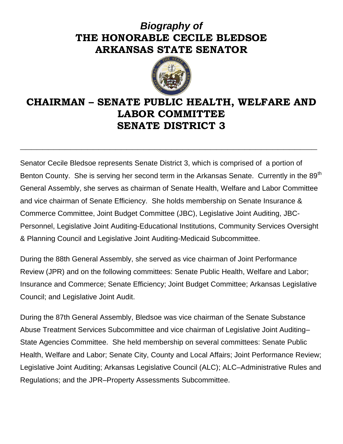## *Biography of* **THE HONORABLE CECILE BLEDSOE ARKANSAS STATE SENATOR**



## **CHAIRMAN – SENATE PUBLIC HEALTH, WELFARE AND LABOR COMMITTEE SENATE DISTRICT 3**

**\_\_\_\_\_\_\_\_\_\_\_\_\_\_\_\_\_\_\_\_\_\_\_\_\_\_\_\_\_\_\_\_\_\_\_\_\_\_\_\_\_\_\_\_\_\_\_\_\_\_\_\_\_**

Senator Cecile Bledsoe represents Senate District 3, which is comprised of a portion of Benton County. She is serving her second term in the Arkansas Senate. Currently in the 89<sup>th</sup> General Assembly, she serves as chairman of Senate Health, Welfare and Labor Committee and vice chairman of Senate Efficiency. She holds membership on Senate Insurance & Commerce Committee, Joint Budget Committee (JBC), Legislative Joint Auditing, JBC-Personnel, Legislative Joint Auditing-Educational Institutions, Community Services Oversight & Planning Council and Legislative Joint Auditing-Medicaid Subcommittee.

During the 88th General Assembly, she served as vice chairman of Joint Performance Review (JPR) and on the following committees: Senate Public Health, Welfare and Labor; Insurance and Commerce; Senate Efficiency; Joint Budget Committee; Arkansas Legislative Council; and Legislative Joint Audit.

During the 87th General Assembly, Bledsoe was vice chairman of the Senate Substance Abuse Treatment Services Subcommittee and vice chairman of Legislative Joint Auditing– State Agencies Committee. She held membership on several committees: Senate Public Health, Welfare and Labor; Senate City, County and Local Affairs; Joint Performance Review; Legislative Joint Auditing; Arkansas Legislative Council (ALC); ALC–Administrative Rules and Regulations; and the JPR–Property Assessments Subcommittee.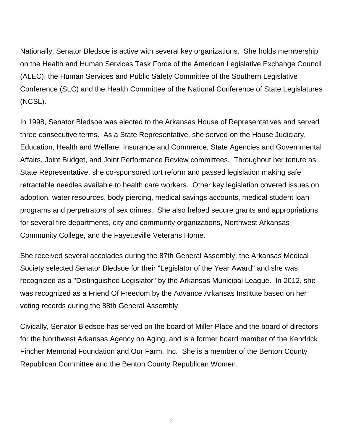Nationally, Senator Bledsoe is active with several key organizations. She holds membership on the Health and Human Services Task Force of the American Legislative Exchange Council (ALEC), the Human Services and Public Safety Committee of the Southern Legislative Conference (SLC) and the Health Committee of the National Conference of State Legislatures (NCSL).

In 1998, Senator Bledsoe was elected to the Arkansas House of Representatives and served three consecutive terms. As a State Representative, she served on the House Judiciary, Education, Health and Welfare, Insurance and Commerce, State Agencies and Governmental Affairs, Joint Budget, and Joint Performance Review committees. Throughout her tenure as State Representative, she co-sponsored tort reform and passed legislation making safe retractable needles available to health care workers. Other key legislation covered issues on adoption, water resources, body piercing, medical savings accounts, medical student loan programs and perpetrators of sex crimes. She also helped secure grants and appropriations for several fire departments, city and community organizations, Northwest Arkansas Community College, and the Fayetteville Veterans Home.

She received several accolades during the 87th General Assembly; the Arkansas Medical Society selected Senator Bledsoe for their "Legislator of the Year Award" and she was recognized as a "Distinguished Legislator" by the Arkansas Municipal League. In 2012, she was recognized as a Friend Of Freedom by the Advance Arkansas Institute based on her voting records during the 88th General Assembly.

Civically, Senator Bledsoe has served on the board of Miller Place and the board of directors for the Northwest Arkansas Agency on Aging, and is a former board member of the Kendrick Fincher Memorial Foundation and Our Farm, Inc. She is a member of the Benton County Republican Committee and the Benton County Republican Women.

2